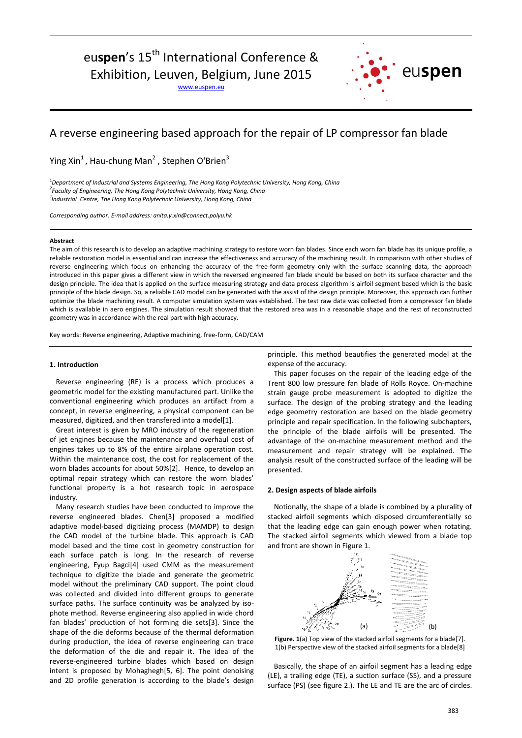# euspen's 15<sup>th</sup> International Conference &

Exhibition, Leuven, Belgium, June 2015

[www.euspen.eu](http://www.euspen.eu/)



# A reverse engineering based approach for the repair of LP compressor fan blade

Ying Xin<sup>1</sup>, Hau-chung Man<sup>2</sup>, Stephen O'Brien<sup>3</sup>

<sup>1</sup>*Department of Industrial and Systems Engineering, The Hong Kong Polytechnic University, Hong Kong, China 2 Faculty of Engineering, The Hong Kong Polytechnic University, Hong Kong, China* 3 *Industrial Centre, The Hong Kong Polytechnic University, Hong Kong, China*

*Corresponding author. E-mail address: anita.y.xin@connect.polyu.hk*

#### **Abstract**

The aim of this research is to develop an adaptive machining strategy to restore worn fan blades. Since each worn fan blade has its unique profile, a reliable restoration model is essential and can increase the effectiveness and accuracy of the machining result. In comparison with other studies of reverse engineering which focus on enhancing the accuracy of the free-form geometry only with the surface scanning data, the approach introduced in this paper gives a different view in which the reversed engineered fan blade should be based on both its surface character and the design principle. The idea that is applied on the surface measuring strategy and data process algorithm is airfoil segment based which is the basic principle of the blade design. So, a reliable CAD model can be generated with the assist of the design principle. Moreover, this approach can further optimize the blade machining result. A computer simulation system was established. The test raw data was collected from a compressor fan blade which is available in aero engines. The simulation result showed that the restored area was in a reasonable shape and the rest of reconstructed geometry was in accordance with the real part with high accuracy.

Key words: Reverse engineering, Adaptive machining, free-form, CAD/CAM

### **1. Introduction**

Reverse engineering (RE) is a process which produces a geometric model for the existing manufactured part. Unlike the conventional engineering which produces an artifact from a concept, in reverse engineering, a physical component can be measured, digitized, and then transfered into a model[1].

Great interest is given by MRO industry of the regeneration of jet engines because the maintenance and overhaul cost of engines takes up to 8% of the entire airplane operation cost. Within the maintenance cost, the cost for replacement of the worn blades accounts for about 50%[2]. Hence, to develop an optimal repair strategy which can restore the worn blades' functional property is a hot research topic in aerospace industry.

Many research studies have been conducted to improve the reverse engineered blades. Chen[3] proposed a modified adaptive model-based digitizing process (MAMDP) to design the CAD model of the turbine blade. This approach is CAD model based and the time cost in geometry construction for each surface patch is long. In the research of reverse engineering, Eyup Bagci[4] used CMM as the measurement technique to digitize the blade and generate the geometric model without the preliminary CAD support. The point cloud was collected and divided into different groups to generate surface paths. The surface continuity was be analyzed by isophote method. Reverse engineering also applied in wide chord fan blades' production of hot forming die sets[3]. Since the shape of the die deforms because of the thermal deformation during production, the idea of reverse engineering can trace the deformation of the die and repair it. The idea of the reverse-engineered turbine blades which based on design intent is proposed by Mohaghegh[5, 6]. The point denoising and 2D profile generation is according to the blade's design principle. This method beautifies the generated model at the expense of the accuracy.

This paper focuses on the repair of the leading edge of the Trent 800 low pressure fan blade of Rolls Royce. On-machine strain gauge probe measurement is adopted to digitize the surface. The design of the probing strategy and the leading edge geometry restoration are based on the blade geometry principle and repair specification. In the following subchapters, the principle of the blade airfoils will be presented. The advantage of the on-machine measurement method and the measurement and repair strategy will be explained. The analysis result of the constructed surface of the leading will be presented.

### **2. Design aspects of blade airfoils**

Notionally, the shape of a blade is combined by a plurality of stacked airfoil segments which disposed circumferentially so that the leading edge can gain enough power when rotating. The stacked airfoil segments which viewed from a blade top and front are shown in Figure 1.



Figure. 1(a) Top view of the stacked airfoil segments for a blade<sup>[7]</sup>. 1(b) Perspective view of the stacked airfoil segments for a blade[8]

Basically, the shape of an airfoil segment has a leading edge (LE), a trailing edge (TE), a suction surface (SS), and a pressure surface (PS) (see figure 2.). The LE and TE are the arc of circles.